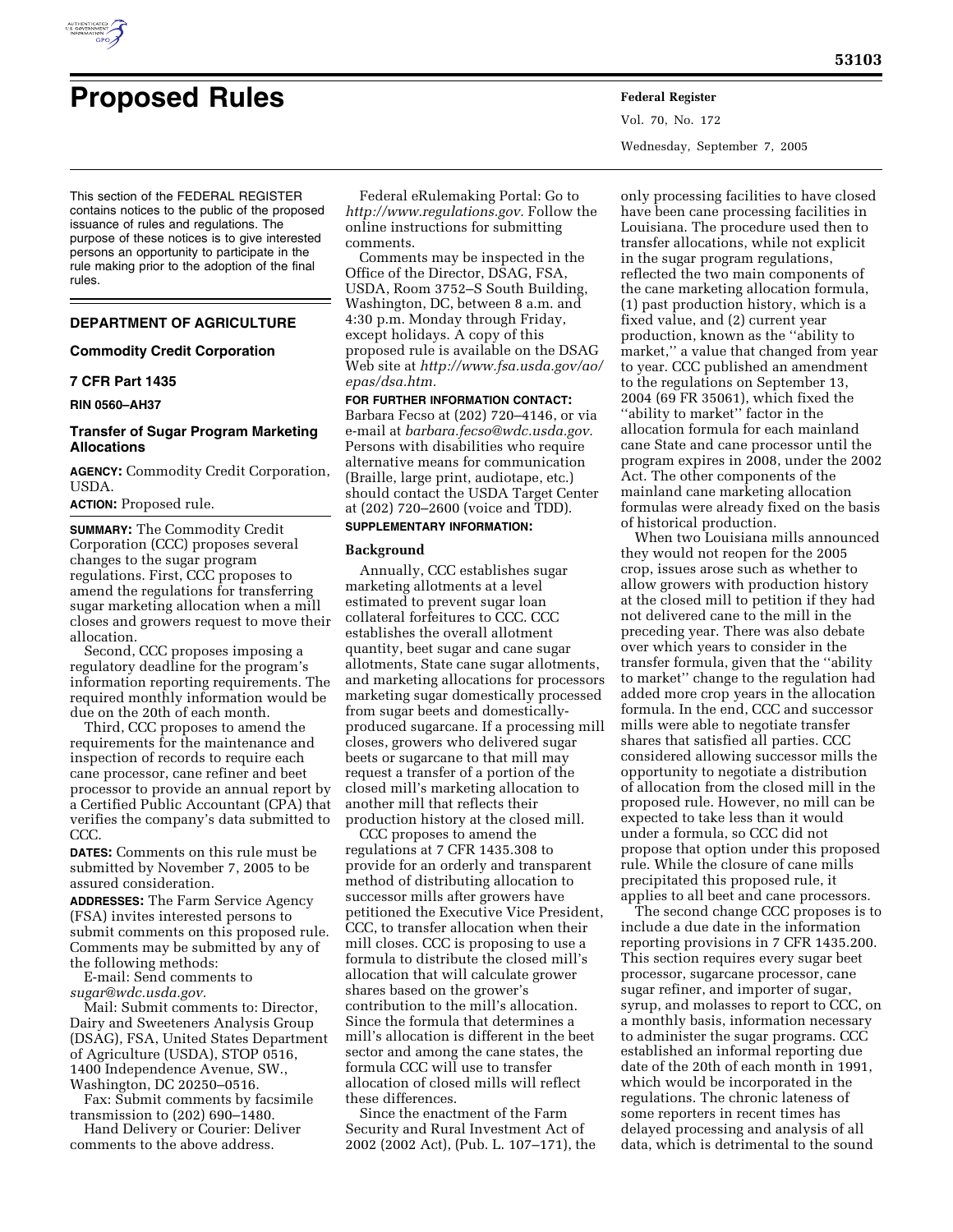

Vol. 70, No. 172 Wednesday, September 7, 2005

This section of the FEDERAL REGISTER contains notices to the public of the proposed issuance of rules and regulations. The purpose of these notices is to give interested persons an opportunity to participate in the rule making prior to the adoption of the final rules.

# **DEPARTMENT OF AGRICULTURE**

### **Commodity Credit Corporation**

# **7 CFR Part 1435**

**RIN 0560–AH37** 

# **Transfer of Sugar Program Marketing Allocations**

**AGENCY:** Commodity Credit Corporation, USDA.

# **ACTION:** Proposed rule.

**SUMMARY:** The Commodity Credit Corporation (CCC) proposes several changes to the sugar program regulations. First, CCC proposes to amend the regulations for transferring sugar marketing allocation when a mill closes and growers request to move their allocation.

Second, CCC proposes imposing a regulatory deadline for the program's information reporting requirements. The required monthly information would be due on the 20th of each month.

Third, CCC proposes to amend the requirements for the maintenance and inspection of records to require each cane processor, cane refiner and beet processor to provide an annual report by a Certified Public Accountant (CPA) that verifies the company's data submitted to CCC.

**DATES:** Comments on this rule must be submitted by November 7, 2005 to be assured consideration.

**ADDRESSES:** The Farm Service Agency (FSA) invites interested persons to submit comments on this proposed rule. Comments may be submitted by any of the following methods:

E-mail: Send comments to *sugar@wdc.usda.gov.* 

Mail: Submit comments to: Director, Dairy and Sweeteners Analysis Group (DSAG), FSA, United States Department of Agriculture (USDA), STOP 0516, 1400 Independence Avenue, SW., Washington, DC 20250–0516.

Fax: Submit comments by facsimile transmission to (202) 690–1480.

Hand Delivery or Courier: Deliver comments to the above address.

Federal eRulemaking Portal: Go to *http://www.regulations.gov.* Follow the online instructions for submitting comments.

Comments may be inspected in the Office of the Director, DSAG, FSA, USDA, Room 3752–S South Building, Washington, DC, between 8 a.m. and 4:30 p.m. Monday through Friday, except holidays. A copy of this proposed rule is available on the DSAG Web site at *http://www.fsa.usda.gov/ao/ epas/dsa.htm.* 

**FOR FURTHER INFORMATION CONTACT:**  Barbara Fecso at (202) 720–4146, or via e-mail at *barbara.fecso@wdc.usda.gov.*  Persons with disabilities who require alternative means for communication (Braille, large print, audiotape, etc.) should contact the USDA Target Center at (202) 720–2600 (voice and TDD).

# **SUPPLEMENTARY INFORMATION:**

#### **Background**

Annually, CCC establishes sugar marketing allotments at a level estimated to prevent sugar loan collateral forfeitures to CCC. CCC establishes the overall allotment quantity, beet sugar and cane sugar allotments, State cane sugar allotments, and marketing allocations for processors marketing sugar domestically processed from sugar beets and domesticallyproduced sugarcane. If a processing mill closes, growers who delivered sugar beets or sugarcane to that mill may request a transfer of a portion of the closed mill's marketing allocation to another mill that reflects their production history at the closed mill.

CCC proposes to amend the regulations at 7 CFR 1435.308 to provide for an orderly and transparent method of distributing allocation to successor mills after growers have petitioned the Executive Vice President, CCC, to transfer allocation when their mill closes. CCC is proposing to use a formula to distribute the closed mill's allocation that will calculate grower shares based on the grower's contribution to the mill's allocation. Since the formula that determines a mill's allocation is different in the beet sector and among the cane states, the formula CCC will use to transfer allocation of closed mills will reflect these differences.

Since the enactment of the Farm Security and Rural Investment Act of 2002 (2002 Act), (Pub. L. 107–171), the

only processing facilities to have closed have been cane processing facilities in Louisiana. The procedure used then to transfer allocations, while not explicit in the sugar program regulations, reflected the two main components of the cane marketing allocation formula, (1) past production history, which is a fixed value, and (2) current year production, known as the ''ability to market,'' a value that changed from year to year. CCC published an amendment to the regulations on September 13, 2004 (69 FR 35061), which fixed the ''ability to market'' factor in the allocation formula for each mainland cane State and cane processor until the program expires in 2008, under the 2002 Act. The other components of the mainland cane marketing allocation formulas were already fixed on the basis of historical production.

When two Louisiana mills announced they would not reopen for the 2005 crop, issues arose such as whether to allow growers with production history at the closed mill to petition if they had not delivered cane to the mill in the preceding year. There was also debate over which years to consider in the transfer formula, given that the ''ability to market'' change to the regulation had added more crop years in the allocation formula. In the end, CCC and successor mills were able to negotiate transfer shares that satisfied all parties. CCC considered allowing successor mills the opportunity to negotiate a distribution of allocation from the closed mill in the proposed rule. However, no mill can be expected to take less than it would under a formula, so CCC did not propose that option under this proposed rule. While the closure of cane mills precipitated this proposed rule, it applies to all beet and cane processors.

The second change CCC proposes is to include a due date in the information reporting provisions in 7 CFR 1435.200. This section requires every sugar beet processor, sugarcane processor, cane sugar refiner, and importer of sugar, syrup, and molasses to report to CCC, on a monthly basis, information necessary to administer the sugar programs. CCC established an informal reporting due date of the 20th of each month in 1991, which would be incorporated in the regulations. The chronic lateness of some reporters in recent times has delayed processing and analysis of all data, which is detrimental to the sound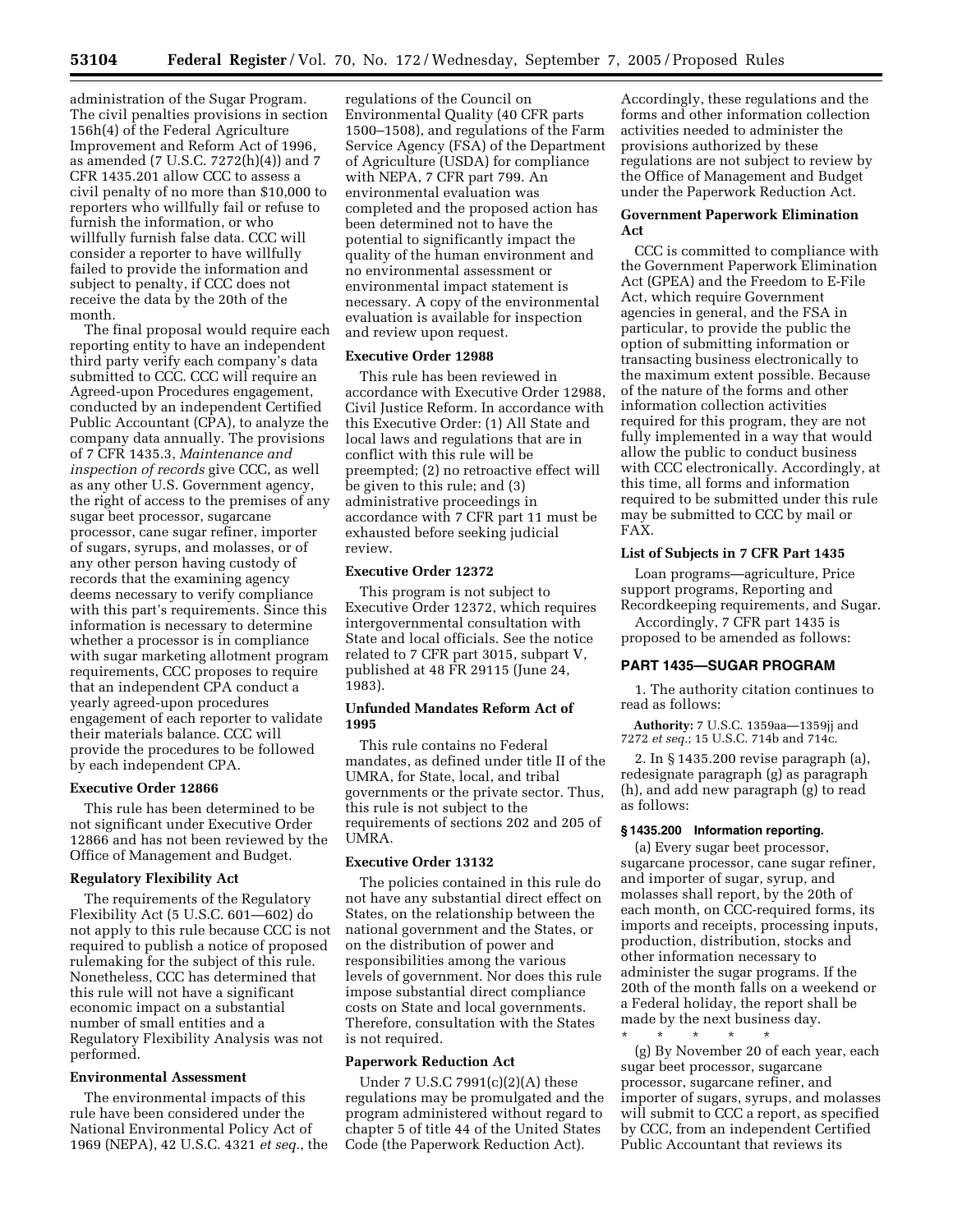administration of the Sugar Program. The civil penalties provisions in section 156h(4) of the Federal Agriculture Improvement and Reform Act of 1996, as amended (7 U.S.C. 7272(h)(4)) and 7 CFR 1435.201 allow CCC to assess a civil penalty of no more than \$10,000 to reporters who willfully fail or refuse to furnish the information, or who willfully furnish false data. CCC will consider a reporter to have willfully failed to provide the information and subject to penalty, if CCC does not receive the data by the 20th of the month.

The final proposal would require each reporting entity to have an independent third party verify each company's data submitted to CCC. CCC will require an Agreed-upon Procedures engagement, conducted by an independent Certified Public Accountant (CPA), to analyze the company data annually. The provisions of 7 CFR 1435.3, *Maintenance and inspection of records* give CCC, as well as any other U.S. Government agency, the right of access to the premises of any sugar beet processor, sugarcane processor, cane sugar refiner, importer of sugars, syrups, and molasses, or of any other person having custody of records that the examining agency deems necessary to verify compliance with this part's requirements. Since this information is necessary to determine whether a processor is in compliance with sugar marketing allotment program requirements, CCC proposes to require that an independent CPA conduct a yearly agreed-upon procedures engagement of each reporter to validate their materials balance. CCC will provide the procedures to be followed by each independent CPA.

#### **Executive Order 12866**

This rule has been determined to be not significant under Executive Order 12866 and has not been reviewed by the Office of Management and Budget.

# **Regulatory Flexibility Act**

The requirements of the Regulatory Flexibility Act (5 U.S.C. 601—602) do not apply to this rule because CCC is not required to publish a notice of proposed rulemaking for the subject of this rule. Nonetheless, CCC has determined that this rule will not have a significant economic impact on a substantial number of small entities and a Regulatory Flexibility Analysis was not performed.

#### **Environmental Assessment**

The environmental impacts of this rule have been considered under the National Environmental Policy Act of 1969 (NEPA), 42 U.S.C. 4321 *et seq.*, the

regulations of the Council on Environmental Quality (40 CFR parts 1500–1508), and regulations of the Farm Service Agency (FSA) of the Department of Agriculture (USDA) for compliance with NEPA, 7 CFR part 799. An environmental evaluation was completed and the proposed action has been determined not to have the potential to significantly impact the quality of the human environment and no environmental assessment or environmental impact statement is necessary. A copy of the environmental evaluation is available for inspection and review upon request.

### **Executive Order 12988**

This rule has been reviewed in accordance with Executive Order 12988, Civil Justice Reform. In accordance with this Executive Order: (1) All State and local laws and regulations that are in conflict with this rule will be preempted; (2) no retroactive effect will be given to this rule; and (3) administrative proceedings in accordance with 7 CFR part 11 must be exhausted before seeking judicial review.

# **Executive Order 12372**

This program is not subject to Executive Order 12372, which requires intergovernmental consultation with State and local officials. See the notice related to 7 CFR part 3015, subpart V, published at 48 FR 29115 (June 24, 1983).

## **Unfunded Mandates Reform Act of 1995**

This rule contains no Federal mandates, as defined under title II of the UMRA, for State, local, and tribal governments or the private sector. Thus, this rule is not subject to the requirements of sections 202 and 205 of UMRA.

# **Executive Order 13132**

The policies contained in this rule do not have any substantial direct effect on States, on the relationship between the national government and the States, or on the distribution of power and responsibilities among the various levels of government. Nor does this rule impose substantial direct compliance costs on State and local governments. Therefore, consultation with the States is not required.

#### **Paperwork Reduction Act**

Under 7 U.S.C 7991(c)(2)(A) these regulations may be promulgated and the program administered without regard to chapter 5 of title 44 of the United States Code (the Paperwork Reduction Act).

Accordingly, these regulations and the forms and other information collection activities needed to administer the provisions authorized by these regulations are not subject to review by the Office of Management and Budget under the Paperwork Reduction Act.

## **Government Paperwork Elimination Act**

CCC is committed to compliance with the Government Paperwork Elimination Act (GPEA) and the Freedom to E-File Act, which require Government agencies in general, and the FSA in particular, to provide the public the option of submitting information or transacting business electronically to the maximum extent possible. Because of the nature of the forms and other information collection activities required for this program, they are not fully implemented in a way that would allow the public to conduct business with CCC electronically. Accordingly, at this time, all forms and information required to be submitted under this rule may be submitted to CCC by mail or FAX.

#### **List of Subjects in 7 CFR Part 1435**

Loan programs—agriculture, Price support programs, Reporting and Recordkeeping requirements, and Sugar.

Accordingly, 7 CFR part 1435 is proposed to be amended as follows:

### **PART 1435—SUGAR PROGRAM**

1. The authority citation continues to read as follows:

**Authority:** 7 U.S.C. 1359aa—1359jj and 7272 *et seq.*; 15 U.S.C. 714b and 714c.

2. In § 1435.200 revise paragraph (a), redesignate paragraph (g) as paragraph (h), and add new paragraph (g) to read as follows:

# **§ 1435.200 Information reporting.**

(a) Every sugar beet processor, sugarcane processor, cane sugar refiner, and importer of sugar, syrup, and molasses shall report, by the 20th of each month, on CCC-required forms, its imports and receipts, processing inputs, production, distribution, stocks and other information necessary to administer the sugar programs. If the 20th of the month falls on a weekend or a Federal holiday, the report shall be made by the next business day.

\* \* \* \* \* (g) By November 20 of each year, each sugar beet processor, sugarcane processor, sugarcane refiner, and importer of sugars, syrups, and molasses will submit to CCC a report, as specified by CCC, from an independent Certified Public Accountant that reviews its